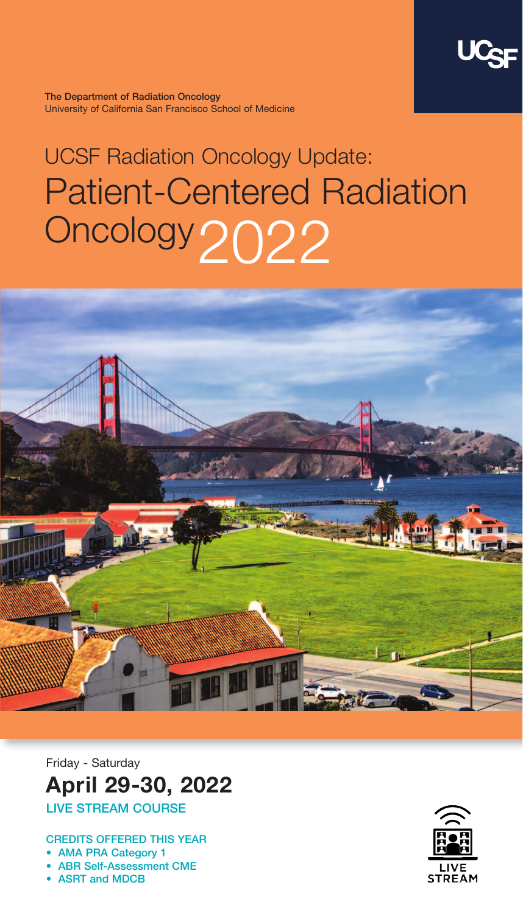

**The Department of Radiation Oncology**  University of California San Francisco School of Medicine

## UCSF Radiation Oncology Update: Patient-Centered Radiation Oncology2022



Friday - Saturday **April 29-30, 2022 LIVE STREAM COURSE**

**CREDITS OFFERED THIS YEAR**

**• AMA PRA Category 1**

**• ABR Self-Assessment CME**

**• ASRT and MDCB**

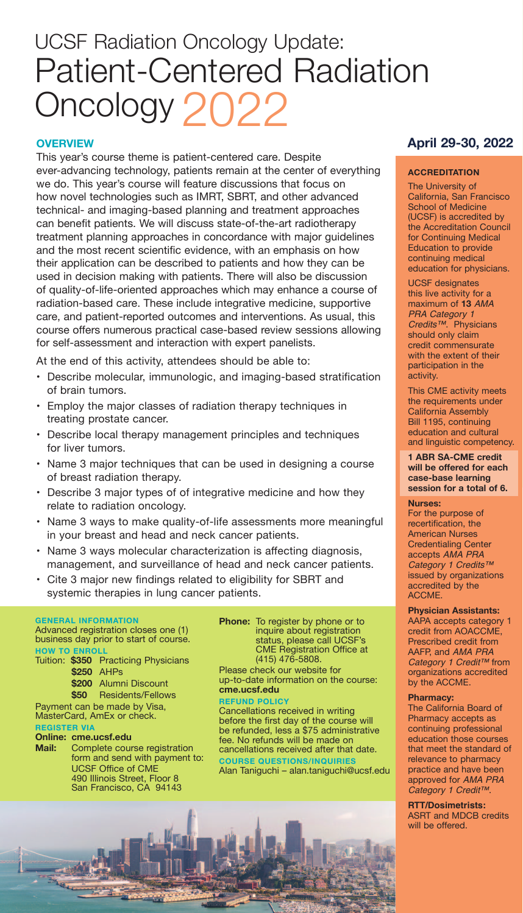### UCSF Radiation Oncology Update: Patient-Centered Radiation Oncology 2022

#### **OVERVIEW**

This year's course theme is patient-centered care. Despite ever-advancing technology, patients remain at the center of everything we do. This year's course will feature discussions that focus on how novel technologies such as IMRT, SBRT, and other advanced technical- and imaging-based planning and treatment approaches can benefit patients. We will discuss state-of-the-art radiotherapy treatment planning approaches in concordance with major guidelines and the most recent scientific evidence, with an emphasis on how their application can be described to patients and how they can be used in decision making with patients. There will also be discussion of quality-of-life-oriented approaches which may enhance a course of radiation-based care. These include integrative medicine, supportive care, and patient-reported outcomes and interventions. As usual, this course offers numerous practical case-based review sessions allowing for self-assessment and interaction with expert panelists.

At the end of this activity, attendees should be able to:

- Describe molecular, immunologic, and imaging-based stratification of brain tumors.
- Employ the major classes of radiation therapy techniques in treating prostate cancer.
- Describe local therapy management principles and techniques for liver tumors.
- Name 3 major techniques that can be used in designing a course of breast radiation therapy.
- Describe 3 major types of of integrative medicine and how they relate to radiation oncology.
- Name 3 ways to make quality-of-life assessments more meaningful in your breast and head and neck cancer patients.
- Name 3 ways molecular characterization is affecting diagnosis, management, and surveillance of head and neck cancer patients.
- Cite 3 major new findings related to eligibility for SBRT and systemic therapies in lung cancer patients.

#### **GENERAL INFORMATION**

Advanced registration closes one (1) business day prior to start of course. **HOW TO ENROLL** Tuition: **\$350** Practicing Physicians

**\$250** AHPs

\$200 Alumni Discount<br>\$50 Residents/Fellow **\$50** Residents/Fellows

Payment can be made by Visa,

MasterCard, AmEx or check.

#### **REGISTER VIA**

- **Online: cme.ucsf.edu**
- **Mail:** Complete course registration form and send with payment to: UCSF Office of CME 490 Illinois Street, Floor 8 San Francisco, CA 94143

**Phone:** To register by phone or to inquire about registration status, please call UCSF's CME Registration Office at (415) 476-5808.

Please check our website for up-to-date information on the course: **cme.ucsf.edu**

**REFUND POLICY**

Cancellations received in writing before the first day of the course will be refunded, less a \$75 administrative fee. No refunds will be made on cancellations received after that date. **COURSE QUESTIONS/INQUIRIES**

Alan Taniguchi – alan.taniguchi@ucsf.edu



#### **April 29-30, 2022**

#### **ACCREDITATION**

The University of California, San Francisco School of Medicine (UCSF) is accredited by the Accreditation Council for Continuing Medical Education to provide continuing medical education for physicians.

UCSF designates this live activity for a maximum of **13** AMA PRA Category 1 Credits™. Physicians should only claim credit commensurate with the extent of their participation in the activity.

This CME activity meets the requirements under California Assembly Bill 1195, continuing education and cultural and linguistic competency.

**1 ABR SA-CME credit will be offered for each case-base learning session for a total of 6.**

#### **Nurses:**

For the purpose of recertification, the American Nurses Credentialing Center accepts AMA PRA Category 1 Credits™ issued by organizations accredited by the ACCME.

#### **Physician Assistants:**

AAPA accepts category 1 credit from AOACCME, Prescribed credit from AAFP, and AMA PRA Category 1 Credit™ from organizations accredited by the ACCME.

#### **Pharmacy:**

The California Board of Pharmacy accepts as continuing professional education those courses that meet the standard of relevance to pharmacy practice and have been approved for AMA PRA Category 1 Credit™.

**RTT/Dosimetrists:** ASRT and MDCB credits will be offered.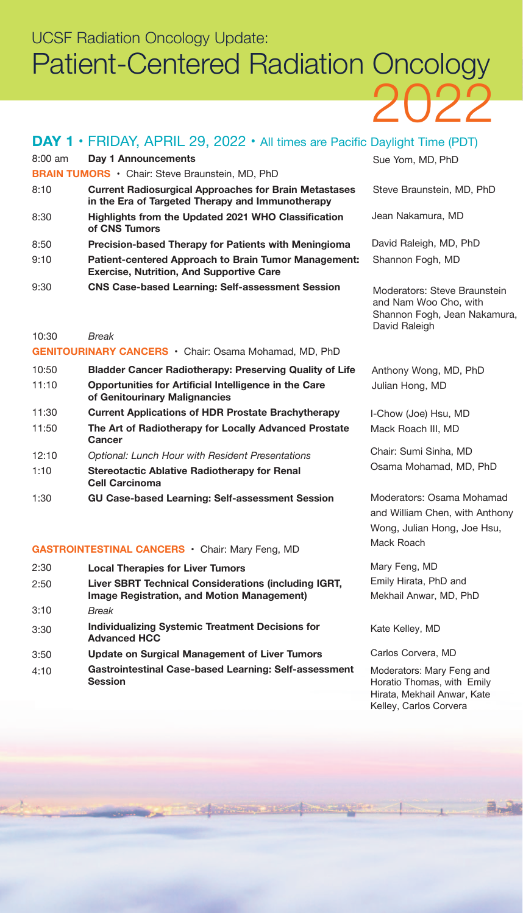## 2022 UCSF Radiation Oncology Update: Patient-Centered Radiation Oncology

#### **DAY 1 • FRIDAY, APRIL 29, 2022 • All times are Pacific Daylight Time (PDT)**

| $8:00$ am | Day 1 Announcements                                                                                              | Sue Yom, MD, PhD                                                                                       |
|-----------|------------------------------------------------------------------------------------------------------------------|--------------------------------------------------------------------------------------------------------|
|           | <b>BRAIN TUMORS</b> • Chair: Steve Braunstein, MD, PhD                                                           |                                                                                                        |
| 8:10      | <b>Current Radiosurgical Approaches for Brain Metastases</b><br>in the Era of Targeted Therapy and Immunotherapy | Steve Braunstein, MD, PhD                                                                              |
| 8:30      | Highlights from the Updated 2021 WHO Classification<br>of CNS Tumors                                             | Jean Nakamura, MD                                                                                      |
| 8:50      | Precision-based Therapy for Patients with Meningioma                                                             | David Raleigh, MD, PhD                                                                                 |
| 9:10      | Patient-centered Approach to Brain Tumor Management:<br><b>Exercise, Nutrition, And Supportive Care</b>          | Shannon Fogh, MD                                                                                       |
| 9:30      | <b>CNS Case-based Learning: Self-assessment Session</b>                                                          | Moderators: Steve Braunstein<br>and Nam Woo Cho, with<br>Shannon Fogh, Jean Nakamura,<br>David Raleigh |
| 10:30     | Break                                                                                                            |                                                                                                        |
|           | <b>GENITOURINARY CANCERS</b> • Chair: Osama Mohamad, MD, PhD                                                     |                                                                                                        |
| 10:50     | <b>Bladder Cancer Radiotherapy: Preserving Quality of Life</b>                                                   | Anthony Wong, MD, PhD                                                                                  |

Julian Hong, MD

Mack Roach

Mary Feng, MD Emily Hirata, PhD and Mekhail Anwar, MD, PhD

Kate Kelley, MD

Carlos Corvera, MD

Moderators: Mary Feng and Horatio Thomas, with Emily Hirata, Mekhail Anwar, Kate Kelley, Carlos Corvera

I-Chow (Joe) Hsu, MD Mack Roach III, MD Chair: Sumi Sinha, MD Osama Mohamad, MD, PhD

Moderators: Osama Mohamad and William Chen, with Anthony Wong, Julian Hong, Joe Hsu,

| 11:10 | Opportunities for Artificial Intelligence in the Care<br>of Genitourinary Malignancies |
|-------|----------------------------------------------------------------------------------------|
| 11:30 | <b>Current Applications of HDR Prostate Brachytherapy</b>                              |

- 11:50 **The Art of Radiotherapy for Locally Advanced Prostate Cancer**
- 12:10 *Optional: Lunch Hour with Resident Presentations*
- 1:10 **Stereotactic Ablative Radiotherapy for Renal Cell Carcinoma**
- 1:30 **GU Case-based Learning: Self-assessment Session**

**GASTROINTESTINAL CANCERS** • Chair: Mary Feng, MD

| 2:30 | <b>Local Therapies for Liver Tumors</b>                                                                   |
|------|-----------------------------------------------------------------------------------------------------------|
| 2:50 | Liver SBRT Technical Considerations (including IGRT,<br><b>Image Registration, and Motion Management)</b> |
| 3:10 | Break                                                                                                     |
| 3:30 | <b>Individualizing Systemic Treatment Decisions for</b><br><b>Advanced HCC</b>                            |
| 3:50 | Update on Surgical Management of Liver Tumors                                                             |
| 4:10 | Gastrointestinal Case-based Learning: Self-assessment<br><b>Session</b>                                   |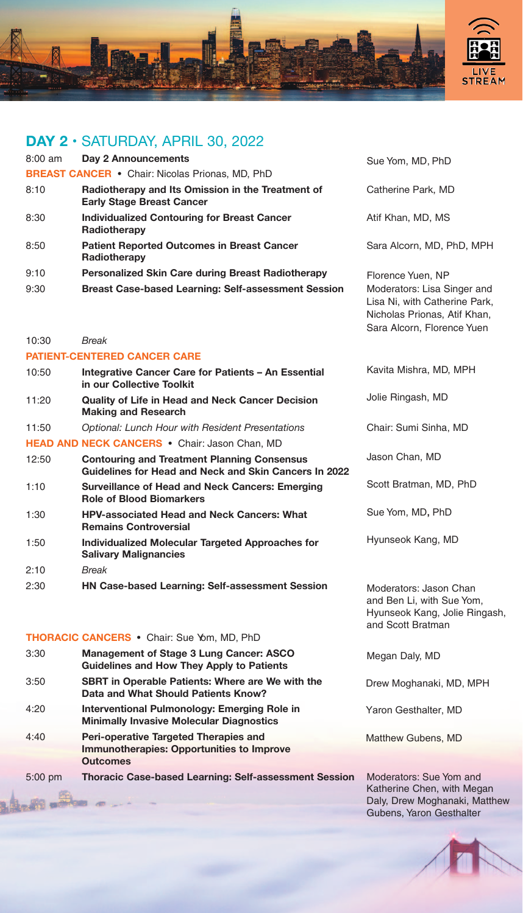

#### **DAY 2 •** SATURDAY, APRIL 30, 2022

| $8:00$ am | Day 2 Announcements                                                                   | Sue Yom, MD                                        |
|-----------|---------------------------------------------------------------------------------------|----------------------------------------------------|
|           | <b>BREAST CANCER • Chair: Nicolas Prionas, MD, PhD</b>                                |                                                    |
| 8:10      | Radiotherapy and Its Omission in the Treatment of<br><b>Early Stage Breast Cancer</b> | <b>Catherine Par</b>                               |
| 8:30      | Individualized Contouring for Breast Cancer<br>Radiotherapy                           | Atif Khan, MD                                      |
| 8:50      | <b>Patient Reported Outcomes in Breast Cancer</b><br>Radiotherapy                     | Sara Alcorn. I                                     |
| 9:10      | <b>Personalized Skin Care during Breast Radiotherapy</b>                              | Florence Yuer                                      |
| 9:30      | <b>Breast Case-based Learning: Self-assessment Session</b>                            | Moderators: L<br>Lisa Ni, with 0<br>Nicholas Prior |

#### 10:30 *Break*

**Se all'on** 

#### **PATIENT-CENTERED CANCER CARE**

| 10:50 | Integrative Cancer Care for Patients - An Essential<br>in our Collective Toolkit                            | Kavita Mishra, MD, MPH                            |
|-------|-------------------------------------------------------------------------------------------------------------|---------------------------------------------------|
| 11:20 | <b>Quality of Life in Head and Neck Cancer Decision</b><br><b>Making and Research</b>                       | Jolie Ringash, MD                                 |
| 11:50 | <b>Optional: Lunch Hour with Resident Presentations</b>                                                     | Chair: Sumi Sinha, MD                             |
|       | HEAD AND NECK CANCERS . Chair: Jason Chan, MD                                                               |                                                   |
| 12:50 | <b>Contouring and Treatment Planning Consensus</b><br>Guidelines for Head and Neck and Skin Cancers In 2022 | Jason Chan, MD                                    |
| 1:10  | Surveillance of Head and Neck Cancers: Emerging<br><b>Role of Blood Biomarkers</b>                          | Scott Bratman, MD, PhD                            |
| 1:30  | <b>HPV-associated Head and Neck Cancers: What</b><br><b>Remains Controversial</b>                           | Sue Yom, MD, PhD                                  |
| 1:50  | Individualized Molecular Targeted Approaches for<br><b>Salivary Malignancies</b>                            | Hyunseok Kang, MD                                 |
| 2:10  | Break                                                                                                       |                                                   |
| 2:30  | <b>HN Case-based Learning: Self-assessment Session</b>                                                      | Moderators: Jason Chan<br>and Dan Li with Cup Var |

#### **THORACIC CANCERS** • Chair: Sue Yom, MD, PhD

| 3:30      | Management of Stage 3 Lung Cancer: ASCO<br>Guidelines and How They Apply to Patients                  |
|-----------|-------------------------------------------------------------------------------------------------------|
| 3:50      | <b>SBRT</b> in Operable Patients: Where are We with the<br>Data and What Should Patients Know?        |
| 4:20      | Interventional Pulmonology: Emerging Role in<br><b>Minimally Invasive Molecular Diagnostics</b>       |
| 4:40      | Peri-operative Targeted Therapies and<br>Immunotherapies: Opportunities to Improve<br><b>Outcomes</b> |
| $5:00$ pm | <b>Thoracic Case-based Learning: Self-assessment Se</b>                                               |

, PhD

rk, MD

), MS

MD, PhD, MPH

n, NP isa Singer and Catherine Park, nas, Atif Khan, Sara Alcorn, Florence Yuen

Moderators: Jason Chan and Ben Li, with Sue Yom, Hyunseok Kang, Jolie Ringash, and Scott Bratman

Megan Daly, MD

Drew Moghanaki, MD, MPH

Yaron Gesthalter, MD

Matthew Gubens, MD

**ssion** Moderators: Sue Yom and Katherine Chen, with Megan Daly, Drew Moghanaki, Matthew Gubens, Yaron Gesthalter

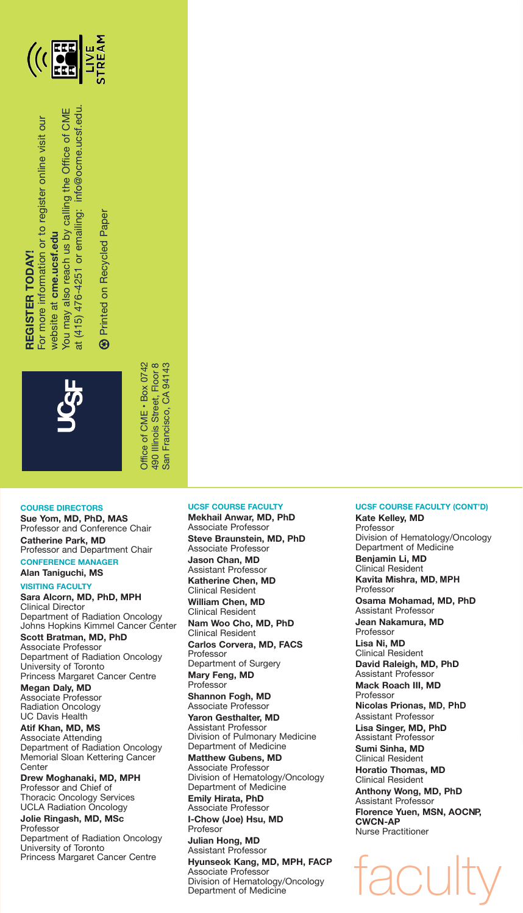

# **REGISTER TODAY! REGISTER TODAY!**

For more information or to register online visit our For more information or to register online visit our

at (415) 476-4251 or emailing: info@ocme.ucsf.edu. You may also reach us by calling the Office of CME at (415) 476-4251 or emailing: info@ocme.ucsf.edu You may also reach us by calling the Office of CME website at cme.ucsf.edu website at **cme.ucsf.edu**

Printed on Recycled Paper **19 Printed on Recycled Paper**  $\circledast$ 



490 Illinois Street, Floor 8<br>San Francisco, CA 94143 Office of CME - Box 0742 Office of CME • Box 0742 490 Illinois Street, Floor 8 San Francisco, CA 94143

#### **COURSE DIRECTORS**

**Sue Yom, MD, PhD, MAS** Professor and Conference Chair **Catherine Park, MD** Professor and Department Chair **CONFERENCE MANAGER**

**Alan Taniguchi, MS**

#### **VISITING FACULTY Sara Alcorn, MD, PhD, MPH** Clinical Director Department of Radiation Oncology Johns Hopkins Kimmel Cancer Center **Scott Bratman, MD, PhD**

Associate Professor Department of Radiation Oncology University of Toronto Princess Margaret Cancer Centre

**Megan Daly, MD** Associate Professor Radiation Oncology UC Davis Health

**Atif Khan, MD, MS** Associate Attending Department of Radiation Oncology Memorial Sloan Kettering Cancer **Center** 

**Drew Moghanaki, MD, MPH** Professor and Chief of Thoracic Oncology Services UCLA Radiation Oncology **Jolie Ringash, MD, MSc**

Professor Department of Radiation Oncology University of Toronto Princess Margaret Cancer Centre

#### **UCSF COURSE FACULTY**

**Mekhail Anwar, MD, PhD** Associate Professor **Steve Braunstein, MD, PhD**  Associate Professor **Jason Chan, MD** Assistant Professor **Katherine Chen, MD** Clinical Resident **William Chen, MD** Clinical Resident **Nam Woo Cho, MD, PhD** Clinical Resident **Carlos Corvera, MD, FACS** Professor Department of Surgery **Mary Feng, MD** Professor **Shannon Fogh, MD** Associate Professor **Yaron Gesthalter, MD** Assistant Professor Division of Pulmonary Medicine Department of Medicine **Matthew Gubens, MD** Associate Professor Division of Hematology/Oncology Department of Medicine **Emily Hirata, PhD** Associate Professor **I-Chow (Joe) Hsu, MD** Profesor **Julian Hong, MD** Assistant Professor **Hyunseok Kang, MD, MPH, FACP** Associate Professor

#### Division of Hematology/Oncology Department of Medicine

#### **UCSF COURSE FACULTY (CONT'D)**

**Kate Kelley, MD** Professor Division of Hematology/Oncology Department of Medicine **Benjamin Li, MD** Clinical Resident **Kavita Mishra, MD, MPH Professor Osama Mohamad, MD, PhD** Assistant Professor **Jean Nakamura, MD** Professor **Lisa Ni, MD** Clinical Resident **David Raleigh, MD, PhD** Assistant Professor **Mack Roach III, MD** Professor **Nicolas Prionas, MD, PhD** Assistant Professor **Lisa Singer, MD, PhD** Assistant Professor **Sumi Sinha, MD** Clinical Resident **Horatio Thomas, MD** Clinical Resident **Anthony Wong, MD, PhD** Assistant Professor **Florence Yuen, MSN, AOCNP, CWCN-AP** Nurse Practitioner faculty